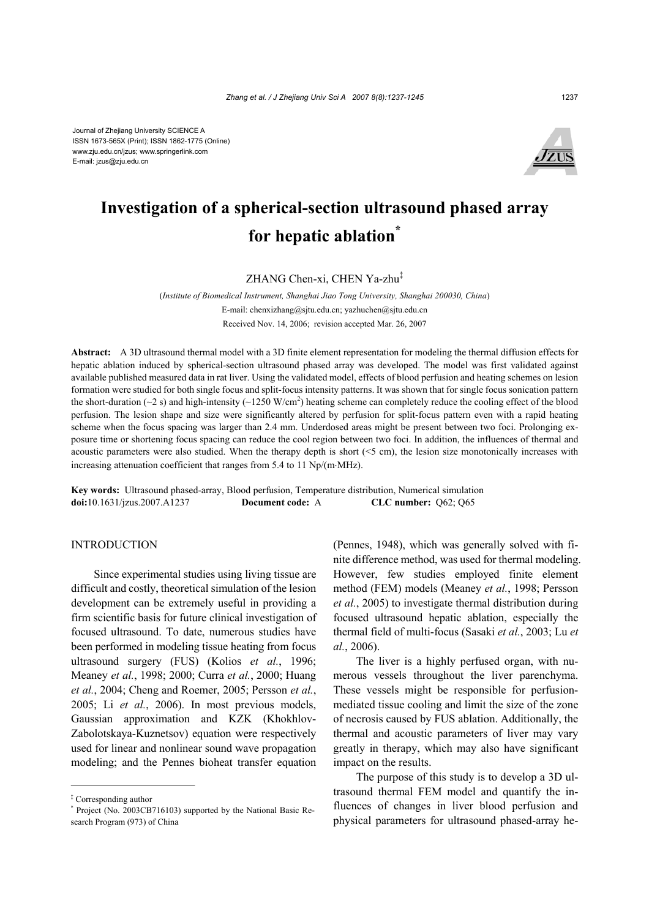

# **Investigation of a spherical-section ultrasound phased array for hepatic ablation\***

ZHANG Chen-xi, CHEN Ya-zhu‡

(*Institute of Biomedical Instrument, Shanghai Jiao Tong University, Shanghai 200030, China*) E-mail: chenxizhang@sjtu.edu.cn; yazhuchen@sjtu.edu.cn Received Nov. 14, 2006; revision accepted Mar. 26, 2007

**Abstract:** A 3D ultrasound thermal model with a 3D finite element representation for modeling the thermal diffusion effects for hepatic ablation induced by spherical-section ultrasound phased array was developed. The model was first validated against available published measured data in rat liver. Using the validated model, effects of blood perfusion and heating schemes on lesion formation were studied for both single focus and split-focus intensity patterns. It was shown that for single focus sonication pattern the short-duration ( $\sim$ 2 s) and high-intensity ( $\sim$ 1250 W/cm<sup>2</sup>) heating scheme can completely reduce the cooling effect of the blood perfusion. The lesion shape and size were significantly altered by perfusion for split-focus pattern even with a rapid heating scheme when the focus spacing was larger than 2.4 mm. Underdosed areas might be present between two foci. Prolonging exposure time or shortening focus spacing can reduce the cool region between two foci. In addition, the influences of thermal and acoustic parameters were also studied. When the therapy depth is short (<5 cm), the lesion size monotonically increases with increasing attenuation coefficient that ranges from 5.4 to 11 Np/(m⋅MHz).

**Key words:** Ultrasound phased-array, Blood perfusion, Temperature distribution, Numerical simulation **doi:**10.1631/jzus.2007.A1237 **Document code:** A **CLC number:** Q62; Q65

## INTRODUCTION

Since experimental studies using living tissue are difficult and costly, theoretical simulation of the lesion development can be extremely useful in providing a firm scientific basis for future clinical investigation of focused ultrasound. To date, numerous studies have been performed in modeling tissue heating from focus ultrasound surgery (FUS) (Kolios *et al.*, 1996; Meaney *et al.*, 1998; 2000; Curra *et al.*, 2000; Huang *et al.*, 2004; Cheng and Roemer, 2005; Persson *et al.*, 2005; Li *et al.*, 2006). In most previous models, Gaussian approximation and KZK (Khokhlov-Zabolotskaya-Kuznetsov) equation were respectively used for linear and nonlinear sound wave propagation modeling; and the Pennes bioheat transfer equation

(Pennes, 1948), which was generally solved with finite difference method, was used for thermal modeling. However, few studies employed finite element method (FEM) models (Meaney *et al.*, 1998; Persson *et al.*, 2005) to investigate thermal distribution during focused ultrasound hepatic ablation, especially the thermal field of multi-focus (Sasaki *et al.*, 2003; Lu *et al.*, 2006).

The liver is a highly perfused organ, with numerous vessels throughout the liver parenchyma. These vessels might be responsible for perfusionmediated tissue cooling and limit the size of the zone of necrosis caused by FUS ablation. Additionally, the thermal and acoustic parameters of liver may vary greatly in therapy, which may also have significant impact on the results.

The purpose of this study is to develop a 3D ultrasound thermal FEM model and quantify the influences of changes in liver blood perfusion and physical parameters for ultrasound phased-array he-

<sup>‡</sup> Corresponding author

<sup>\*</sup> Project (No. 2003CB716103) supported by the National Basic Research Program (973) of China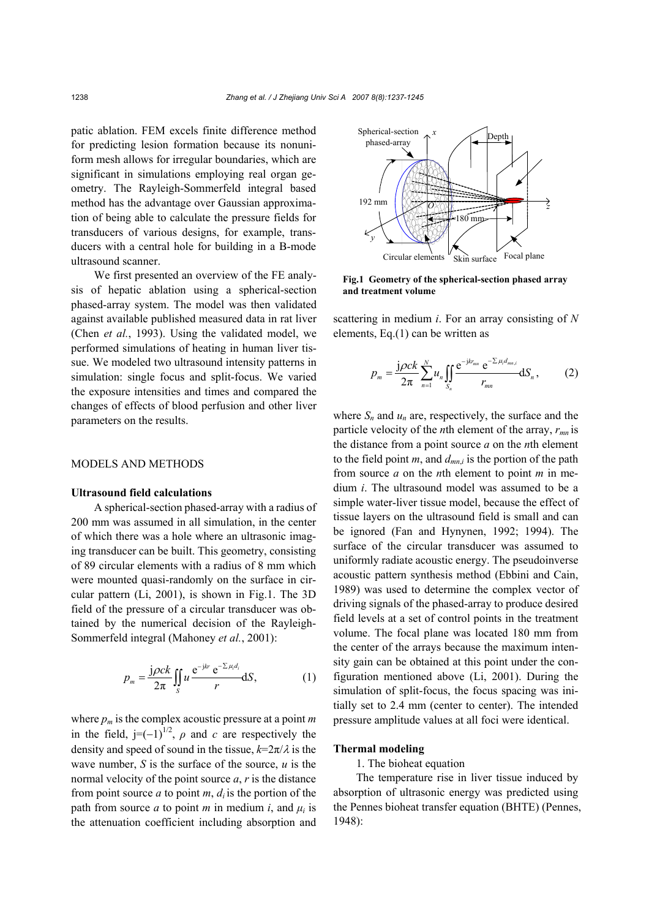patic ablation. FEM excels finite difference method for predicting lesion formation because its nonuniform mesh allows for irregular boundaries, which are significant in simulations employing real organ geometry. The Rayleigh-Sommerfeld integral based method has the advantage over Gaussian approximation of being able to calculate the pressure fields for transducers of various designs, for example, transducers with a central hole for building in a B-mode ultrasound scanner.

We first presented an overview of the FE analysis of hepatic ablation using a spherical-section phased-array system. The model was then validated against available published measured data in rat liver (Chen *et al.*, 1993). Using the validated model, we performed simulations of heating in human liver tissue. We modeled two ultrasound intensity patterns in simulation: single focus and split-focus. We varied the exposure intensities and times and compared the changes of effects of blood perfusion and other liver parameters on the results.

# MODELS AND METHODS

## **Ultrasound field calculations**

A spherical-section phased-array with a radius of 200 mm was assumed in all simulation, in the center of which there was a hole where an ultrasonic imaging transducer can be built. This geometry, consisting of 89 circular elements with a radius of 8 mm which were mounted quasi-randomly on the surface in circular pattern (Li, 2001), is shown in Fig.1. The 3D field of the pressure of a circular transducer was obtained by the numerical decision of the Rayleigh-Sommerfeld integral (Mahoney *et al.*, 2001):

$$
p_m = \frac{\mathbf{j}\rho ck}{2\pi} \iint_S u \frac{\mathrm{e}^{-\mathbf{j}kr}}{\mathrm{e}^{-\sum \mu_i d_i}} dS, \tag{1}
$$

where  $p_m$  is the complex acoustic pressure at a point  $m$ in the field,  $j=(-1)^{1/2}$ ,  $\rho$  and *c* are respectively the density and speed of sound in the tissue,  $k=2\pi/\lambda$  is the wave number, *S* is the surface of the source, *u* is the normal velocity of the point source *a*, *r* is the distance from point source *a* to point *m*,  $d_i$  is the portion of the path from source *a* to point *m* in medium *i*, and  $\mu_i$  is the attenuation coefficient including absorption and



**Fig.1 Geometry of the spherical-section phased array and treatment volume**

scattering in medium *i*. For an array consisting of *N* elements, Eq.(1) can be written as

$$
p_{m} = \frac{j\rho c k}{2\pi} \sum_{n=1}^{N} u_{n} \iint_{S_{n}} \frac{e^{-j k r_{mn}} e^{-\sum \mu_{i} d_{mn, i}}}{r_{mn}} dS_{n}, \qquad (2)
$$

where  $S_n$  and  $u_n$  are, respectively, the surface and the particle velocity of the *n*th element of the array, *rmn* is the distance from a point source *a* on the *n*th element to the field point  $m$ , and  $d_{mn,i}$  is the portion of the path from source *a* on the *n*th element to point *m* in medium *i*. The ultrasound model was assumed to be a simple water-liver tissue model, because the effect of tissue layers on the ultrasound field is small and can be ignored (Fan and Hynynen, 1992; 1994). The surface of the circular transducer was assumed to uniformly radiate acoustic energy. The pseudoinverse acoustic pattern synthesis method (Ebbini and Cain, 1989) was used to determine the complex vector of driving signals of the phased-array to produce desired field levels at a set of control points in the treatment volume. The focal plane was located 180 mm from the center of the arrays because the maximum intensity gain can be obtained at this point under the configuration mentioned above (Li, 2001). During the simulation of split-focus, the focus spacing was initially set to 2.4 mm (center to center). The intended pressure amplitude values at all foci were identical.

#### **Thermal modeling**

1. The bioheat equation

The temperature rise in liver tissue induced by absorption of ultrasonic energy was predicted using the Pennes bioheat transfer equation (BHTE) (Pennes, 1948):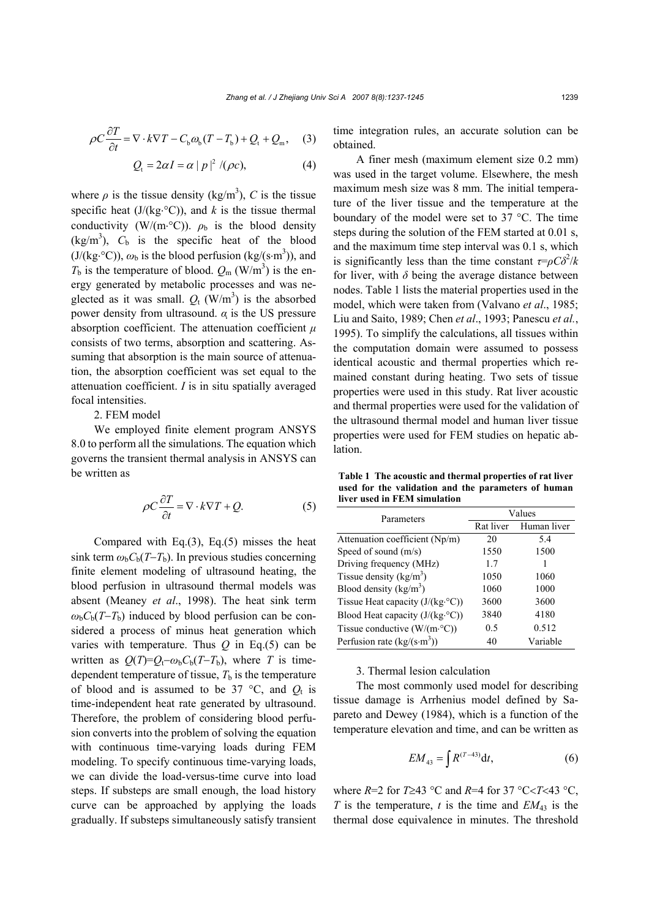$$
\rho C \frac{\partial T}{\partial t} = \nabla \cdot k \nabla T - C_{\text{b}} \omega_{\text{b}} (T - T_{\text{b}}) + Q_{\text{t}} + Q_{\text{m}}, \quad (3)
$$

$$
Q_{t} = 2\alpha I = \alpha |p|^{2} / (\rho c), \qquad (4)
$$

where  $\rho$  is the tissue density (kg/m<sup>3</sup>), *C* is the tissue specific heat  $(J/(kg \cdot {}^{\circ}C))$ , and *k* is the tissue thermal conductivity (W/(m⋅°C)).  $\rho_b$  is the blood density  $(kg/m<sup>3</sup>)$ ,  $C_b$  is the specific heat of the blood  $(J/(kg \cdot {}^{\circ}C)), \omega_{b}$  is the blood perfusion  $(kg/(s \cdot m^{3}))$ , and  $T_b$  is the temperature of blood.  $Q_m$  (W/m<sup>3</sup>) is the energy generated by metabolic processes and was neglected as it was small.  $Q_t$  (W/m<sup>3</sup>) is the absorbed power density from ultrasound. *α* is the US pressure absorption coefficient. The attenuation coefficient  $\mu$ consists of two terms, absorption and scattering. Assuming that absorption is the main source of attenuation, the absorption coefficient was set equal to the attenuation coefficient. *I* is in situ spatially averaged focal intensities.

2. FEM model

We employed finite element program ANSYS 8.0 to perform all the simulations. The equation which governs the transient thermal analysis in ANSYS can be written as

$$
\rho C \frac{\partial T}{\partial t} = \nabla \cdot k \nabla T + Q. \tag{5}
$$

Compared with Eq.(3), Eq.(5) misses the heat sink term  $\omega_b C_b(T-T_b)$ . In previous studies concerning finite element modeling of ultrasound heating, the blood perfusion in ultrasound thermal models was absent (Meaney *et al*., 1998). The heat sink term  $\omega_b C_b(T-T_b)$  induced by blood perfusion can be considered a process of minus heat generation which varies with temperature. Thus *Q* in Eq.(5) can be written as  $Q(T) = Q_t - \omega_b C_b(T - T_b)$ , where *T* is timedependent temperature of tissue,  $T<sub>b</sub>$  is the temperature of blood and is assumed to be 37  $\degree$ C, and  $Q_t$  is time-independent heat rate generated by ultrasound. Therefore, the problem of considering blood perfusion converts into the problem of solving the equation with continuous time-varying loads during FEM modeling. To specify continuous time-varying loads, we can divide the load-versus-time curve into load steps. If substeps are small enough, the load history curve can be approached by applying the loads gradually. If substeps simultaneously satisfy transient time integration rules, an accurate solution can be obtained.

A finer mesh (maximum element size 0.2 mm) was used in the target volume. Elsewhere, the mesh maximum mesh size was 8 mm. The initial temperature of the liver tissue and the temperature at the boundary of the model were set to 37 °C. The time steps during the solution of the FEM started at 0.01 s, and the maximum time step interval was 0.1 s, which is significantly less than the time constant  $\tau = \rho C \delta^2 / k$ for liver, with  $\delta$  being the average distance between nodes. Table 1 lists the material properties used in the model, which were taken from (Valvano *et al*., 1985; Liu and Saito, 1989; Chen *et al*., 1993; Panescu *et al.*, 1995). To simplify the calculations, all tissues within the computation domain were assumed to possess identical acoustic and thermal properties which remained constant during heating. Two sets of tissue properties were used in this study. Rat liver acoustic and thermal properties were used for the validation of the ultrasound thermal model and human liver tissue properties were used for FEM studies on hepatic ablation.

**Table 1 The acoustic and thermal properties of rat liver used for the validation and the parameters of human liver used in FEM simulation**

| Parameters                              | Values    |             |  |  |
|-----------------------------------------|-----------|-------------|--|--|
|                                         | Rat liver | Human liver |  |  |
| Attenuation coefficient (Np/m)          | 20        | 5.4         |  |  |
| Speed of sound $(m/s)$                  | 1550      | 1500        |  |  |
| Driving frequency (MHz)                 | 17        |             |  |  |
| Tissue density $(kg/m3)$                | 1050      | 1060        |  |  |
| Blood density $(kg/m^3)$                | 1060      | 1000        |  |  |
| Tissue Heat capacity $(J/(kg \cdot C))$ | 3600      | 3600        |  |  |
| Blood Heat capacity $(J/(kg \cdot C))$  | 3840      | 4180        |  |  |
| Tissue conductive $(W/(m \cdot C))$     | 0.5       | 0.512       |  |  |
| Perfusion rate $(kg/(s \cdot m^3))$     | 40        | Variable    |  |  |

3. Thermal lesion calculation

The most commonly used model for describing tissue damage is Arrhenius model defined by Sapareto and Dewey (1984), which is a function of the temperature elevation and time, and can be written as

$$
EM_{43} = \int R^{(T-43)} dt,
$$
 (6)

where *R*=2 for *T*≥43 °C and *R*=4 for 37 °C<*T*<43 °C, *T* is the temperature, *t* is the time and  $EM_{43}$  is the thermal dose equivalence in minutes. The threshold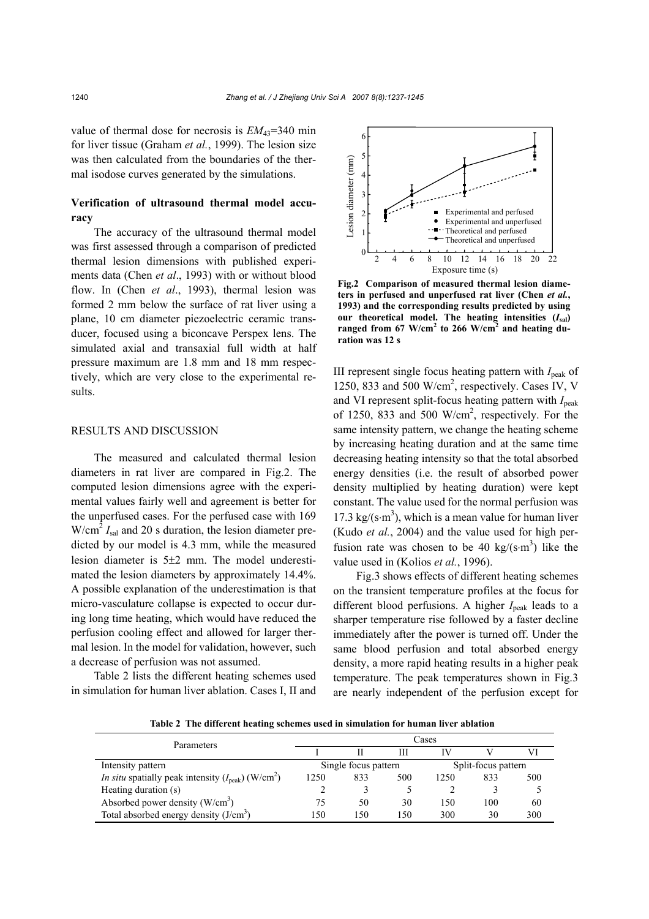value of thermal dose for necrosis is  $EM_{43}=340$  min for liver tissue (Graham *et al.*, 1999). The lesion size was then calculated from the boundaries of the thermal isodose curves generated by the simulations.

# **Verification of ultrasound thermal model accuracy**

The accuracy of the ultrasound thermal model was first assessed through a comparison of predicted thermal lesion dimensions with published experiments data (Chen *et al*., 1993) with or without blood flow. In (Chen *et al*., 1993), thermal lesion was formed 2 mm below the surface of rat liver using a plane, 10 cm diameter piezoelectric ceramic transducer, focused using a biconcave Perspex lens. The simulated axial and transaxial full width at half pressure maximum are 1.8 mm and 18 mm respectively, which are very close to the experimental results.

#### RESULTS AND DISCUSSION

The measured and calculated thermal lesion diameters in rat liver are compared in Fig.2. The computed lesion dimensions agree with the experimental values fairly well and agreement is better for the unperfused cases. For the perfused case with 169  $W/cm<sup>2</sup> I<sub>sal</sub>$  and 20 s duration, the lesion diameter predicted by our model is 4.3 mm, while the measured lesion diameter is 5±2 mm. The model underestimated the lesion diameters by approximately 14.4%. A possible explanation of the underestimation is that micro-vasculature collapse is expected to occur during long time heating, which would have reduced the perfusion cooling effect and allowed for larger thermal lesion. In the model for validation, however, such a decrease of perfusion was not assumed.

Table 2 lists the different heating schemes used in simulation for human liver ablation. Cases I, II and



**Fig.2 Comparison of measured thermal lesion diameters in perfused and unperfused rat liver (Chen** *et al.***, 1993) and the corresponding results predicted by using our theoretical model. The heating intensities (***I***sal)** ranged from 67 W/cm<sup>2</sup> to 266 W/cm<sup>2</sup> and heating du**ration was 12 s**

III represent single focus heating pattern with *I*peak of 1250, 833 and 500 W/cm<sup>2</sup>, respectively. Cases IV, V and VI represent split-focus heating pattern with *I*<sub>peak</sub> of 1250, 833 and 500 W/cm<sup>2</sup>, respectively. For the same intensity pattern, we change the heating scheme by increasing heating duration and at the same time decreasing heating intensity so that the total absorbed energy densities (i.e. the result of absorbed power density multiplied by heating duration) were kept constant. The value used for the normal perfusion was 17.3 kg/(s⋅m<sup>3</sup>), which is a mean value for human liver (Kudo *et al.*, 2004) and the value used for high perfusion rate was chosen to be 40 kg/(s⋅m<sup>3</sup>) like the value used in (Kolios *et al.*, 1996).

Fig.3 shows effects of different heating schemes on the transient temperature profiles at the focus for different blood perfusions. A higher  $I_{\text{peak}}$  leads to a sharper temperature rise followed by a faster decline immediately after the power is turned off. Under the same blood perfusion and total absorbed energy density, a more rapid heating results in a higher peak temperature. The peak temperatures shown in Fig.3 are nearly independent of the perfusion except for

**Table 2 The different heating schemes used in simulation for human liver ablation** 

| Parameters                                                                       | Cases                |      |     |                     |     |     |
|----------------------------------------------------------------------------------|----------------------|------|-----|---------------------|-----|-----|
|                                                                                  |                      |      | Ш   | TV                  |     |     |
| Intensity pattern                                                                | Single focus pattern |      |     | Split-focus pattern |     |     |
| <i>In situ</i> spatially peak intensity $(I_{\text{peak}})$ (W/cm <sup>2</sup> ) | 1250                 | 833  | 500 | 1250                | 833 | 500 |
| Heating duration (s)                                                             |                      |      |     |                     |     |     |
| Absorbed power density $(W/cm3)$                                                 | 75                   | 50   | 30  | 150                 | 100 | 60  |
| Total absorbed energy density $(J/cm3)$                                          | l 50                 | l 50 | 150 | 300                 | 30  | 300 |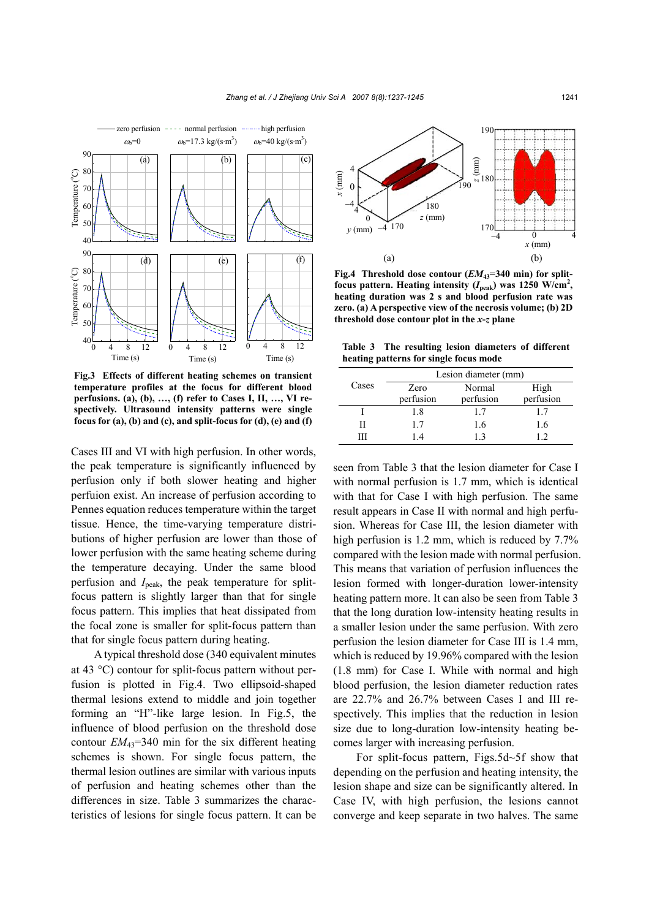

**Fig.3 Effects of different heating schemes on transient temperature profiles at the focus for different blood perfusions. (a), (b), …, (f) refer to Cases I, II, …, VI respectively. Ultrasound intensity patterns were single focus for (a), (b) and (c), and split-focus for (d), (e) and (f)**

Cases III and VI with high perfusion. In other words, the peak temperature is significantly influenced by perfusion only if both slower heating and higher perfuion exist. An increase of perfusion according to Pennes equation reduces temperature within the target tissue. Hence, the time-varying temperature distributions of higher perfusion are lower than those of lower perfusion with the same heating scheme during the temperature decaying. Under the same blood perfusion and *I*peak, the peak temperature for splitfocus pattern is slightly larger than that for single focus pattern. This implies that heat dissipated from the focal zone is smaller for split-focus pattern than that for single focus pattern during heating.

A typical threshold dose (340 equivalent minutes at 43 °C) contour for split-focus pattern without perfusion is plotted in Fig.4. Two ellipsoid-shaped thermal lesions extend to middle and join together forming an "H"-like large lesion. In Fig.5, the influence of blood perfusion on the threshold dose contour  $EM_{43}$ =340 min for the six different heating schemes is shown. For single focus pattern, the thermal lesion outlines are similar with various inputs of perfusion and heating schemes other than the differences in size. Table 3 summarizes the characteristics of lesions for single focus pattern. It can be



Fig.4 Threshold dose contour ( $EM_{43}=340$  min) for splitfocus pattern. Heating intensity  $(I_{peak})$  was 1250 W/cm<sup>2</sup>, **heating duration was 2 s and blood perfusion rate was zero. (a) A perspective view of the necrosis volume; (b) 2D threshold dose contour plot in the** *x***-***z* **plane**

**Table 3 The resulting lesion diameters of different heating patterns for single focus mode** 

|       | Lesion diameter (mm) |           |           |  |
|-------|----------------------|-----------|-----------|--|
| Cases | Zero                 | Normal    | High      |  |
|       | perfusion            | perfusion | perfusion |  |
|       | 1.8                  | 17        | 17        |  |
| Н     | 17                   | 1.6       | 1.6       |  |
| ш     | 14                   | 13        | 12        |  |

seen from Table 3 that the lesion diameter for Case I with normal perfusion is 1.7 mm, which is identical with that for Case I with high perfusion. The same result appears in Case II with normal and high perfusion. Whereas for Case III, the lesion diameter with high perfusion is 1.2 mm, which is reduced by 7.7% compared with the lesion made with normal perfusion. This means that variation of perfusion influences the lesion formed with longer-duration lower-intensity heating pattern more. It can also be seen from Table 3 that the long duration low-intensity heating results in a smaller lesion under the same perfusion. With zero perfusion the lesion diameter for Case III is 1.4 mm, which is reduced by 19.96% compared with the lesion (1.8 mm) for Case I. While with normal and high blood perfusion, the lesion diameter reduction rates are 22.7% and 26.7% between Cases I and III respectively. This implies that the reduction in lesion size due to long-duration low-intensity heating becomes larger with increasing perfusion.

For split-focus pattern, Figs.5d~5f show that depending on the perfusion and heating intensity, the lesion shape and size can be significantly altered. In Case IV, with high perfusion, the lesions cannot converge and keep separate in two halves. The same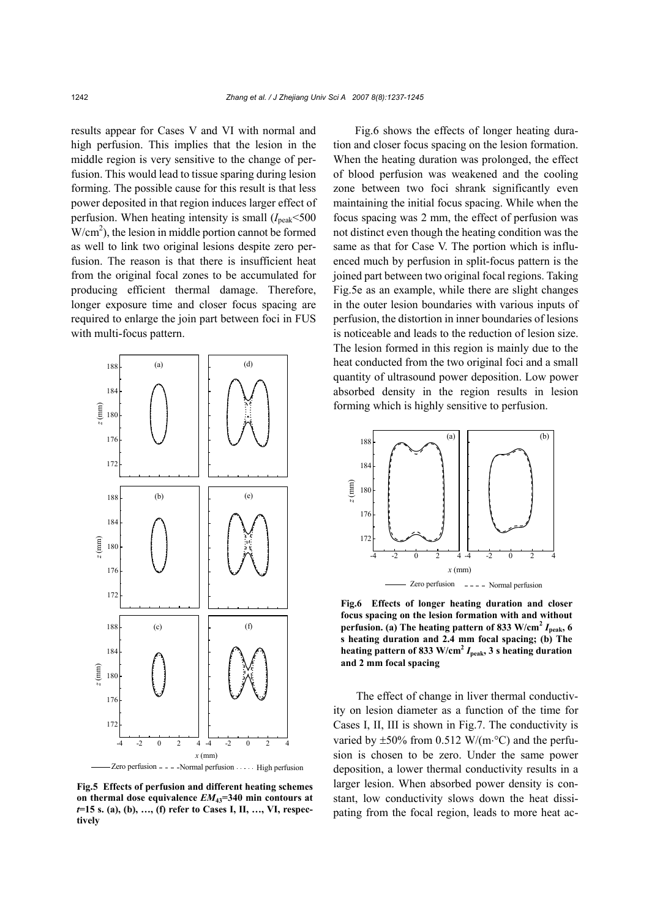results appear for Cases V and VI with normal and high perfusion. This implies that the lesion in the middle region is very sensitive to the change of perfusion. This would lead to tissue sparing during lesion forming. The possible cause for this result is that less power deposited in that region induces larger effect of perfusion. When heating intensity is small  $(I_{\text{peak}} < 500$  $W/cm<sup>2</sup>$ ), the lesion in middle portion cannot be formed as well to link two original lesions despite zero perfusion. The reason is that there is insufficient heat from the original focal zones to be accumulated for producing efficient thermal damage. Therefore, longer exposure time and closer focus spacing are required to enlarge the join part between foci in FUS with multi-focus pattern.



**Fig.5 Effects of perfusion and different heating schemes on thermal dose equivalence** *EM***43=340 min contours at**  *t***=15 s. (a), (b), …, (f) refer to Cases I, II, …, VI, respectively** 

Fig.6 shows the effects of longer heating duration and closer focus spacing on the lesion formation. When the heating duration was prolonged, the effect of blood perfusion was weakened and the cooling zone between two foci shrank significantly even maintaining the initial focus spacing. While when the focus spacing was 2 mm, the effect of perfusion was not distinct even though the heating condition was the same as that for Case V. The portion which is influenced much by perfusion in split-focus pattern is the joined part between two original focal regions. Taking Fig.5e as an example, while there are slight changes in the outer lesion boundaries with various inputs of perfusion, the distortion in inner boundaries of lesions is noticeable and leads to the reduction of lesion size. The lesion formed in this region is mainly due to the heat conducted from the two original foci and a small quantity of ultrasound power deposition. Low power absorbed density in the region results in lesion forming which is highly sensitive to perfusion.



**Fig.6 Effects of longer heating duration and closer focus spacing on the lesion formation with and without perfusion.** (a) The heating pattern of 833 W/cm<sup>2</sup>  $I_{\text{peak}}$ , 6 **s heating duration and 2.4 mm focal spacing; (b) The heating pattern of 833 W/cm<sup>2</sup>**  $I_{\text{peak}}$ **, 3 s heating duration and 2 mm focal spacing**

The effect of change in liver thermal conductivity on lesion diameter as a function of the time for Cases I, II, III is shown in Fig.7. The conductivity is varied by  $\pm 50\%$  from 0.512 W/(m⋅°C) and the perfusion is chosen to be zero. Under the same power deposition, a lower thermal conductivity results in a larger lesion. When absorbed power density is constant, low conductivity slows down the heat dissipating from the focal region, leads to more heat ac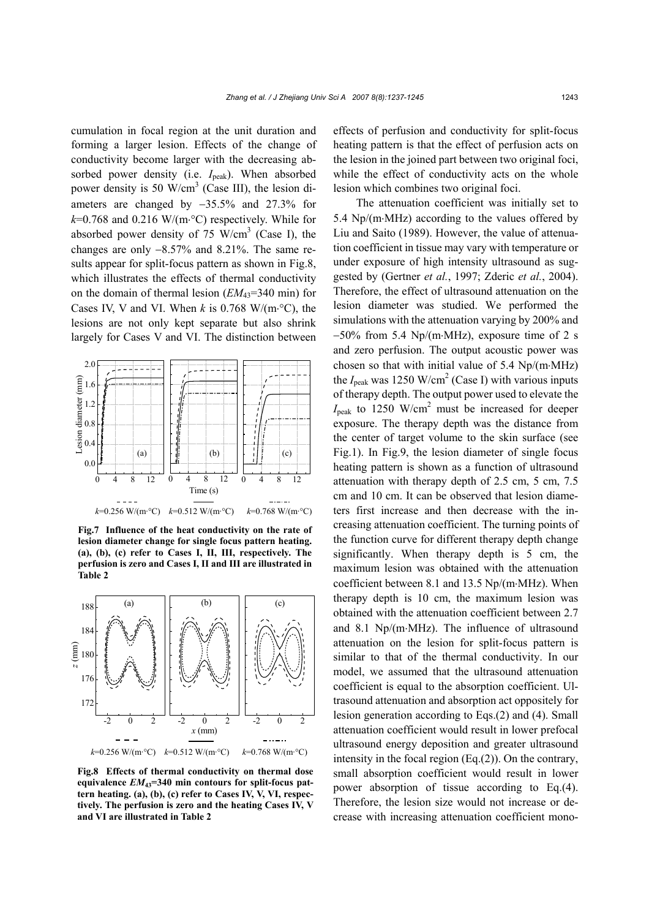cumulation in focal region at the unit duration and forming a larger lesion. Effects of the change of conductivity become larger with the decreasing absorbed power density (i.e.  $I_{\text{peak}}$ ). When absorbed power density is 50 W/cm<sup>3</sup> (Case III), the lesion diameters are changed by −35.5% and 27.3% for *k*=0.768 and 0.216 W/(m⋅°C) respectively. While for absorbed power density of 75 W/cm<sup>3</sup> (Case I), the changes are only −8.57% and 8.21%. The same results appear for split-focus pattern as shown in Fig.8, which illustrates the effects of thermal conductivity on the domain of thermal lesion (*EM*<sub>43</sub>=340 min) for Cases IV, V and VI. When  $k$  is 0.768 W/(m<sup>o</sup>C), the lesions are not only kept separate but also shrink largely for Cases V and VI. The distinction between



**Fig.7 Influence of the heat conductivity on the rate of lesion diameter change for single focus pattern heating. (a), (b), (c) refer to Cases I, II, III, respectively. The perfusion is zero and Cases I, II and III are illustrated in Table 2**



**Fig.8 Effects of thermal conductivity on thermal dose equivalence** *EM***43=340 min contours for split-focus pattern heating. (a), (b), (c) refer to Cases IV, V, VI, respectively. The perfusion is zero and the heating Cases IV, V and VI are illustrated in Table 2**

effects of perfusion and conductivity for split-focus heating pattern is that the effect of perfusion acts on the lesion in the joined part between two original foci, while the effect of conductivity acts on the whole lesion which combines two original foci.

The attenuation coefficient was initially set to 5.4 Np/(m⋅MHz) according to the values offered by Liu and Saito (1989). However, the value of attenuation coefficient in tissue may vary with temperature or under exposure of high intensity ultrasound as suggested by (Gertner *et al.*, 1997; Zderic *et al.*, 2004). Therefore, the effect of ultrasound attenuation on the lesion diameter was studied. We performed the simulations with the attenuation varying by 200% and −50% from 5.4 Np/(m⋅MHz), exposure time of 2 s and zero perfusion. The output acoustic power was chosen so that with initial value of 5.4 Np/(m⋅MHz) the  $I_{\text{peak}}$  was 1250 W/cm<sup>2</sup> (Case I) with various inputs of therapy depth. The output power used to elevate the  $I_{\text{peak}}$  to 1250 W/cm<sup>2</sup> must be increased for deeper exposure. The therapy depth was the distance from the center of target volume to the skin surface (see Fig.1). In Fig.9, the lesion diameter of single focus heating pattern is shown as a function of ultrasound attenuation with therapy depth of 2.5 cm, 5 cm, 7.5 cm and 10 cm. It can be observed that lesion diameters first increase and then decrease with the increasing attenuation coefficient. The turning points of the function curve for different therapy depth change significantly. When therapy depth is 5 cm, the maximum lesion was obtained with the attenuation coefficient between 8.1 and 13.5 Np/(m⋅MHz). When therapy depth is 10 cm, the maximum lesion was obtained with the attenuation coefficient between 2.7 and 8.1 Np/(m⋅MHz). The influence of ultrasound attenuation on the lesion for split-focus pattern is similar to that of the thermal conductivity. In our model, we assumed that the ultrasound attenuation coefficient is equal to the absorption coefficient. Ultrasound attenuation and absorption act oppositely for lesion generation according to Eqs.(2) and (4). Small attenuation coefficient would result in lower prefocal ultrasound energy deposition and greater ultrasound intensity in the focal region (Eq.(2)). On the contrary, small absorption coefficient would result in lower power absorption of tissue according to Eq.(4). Therefore, the lesion size would not increase or decrease with increasing attenuation coefficient mono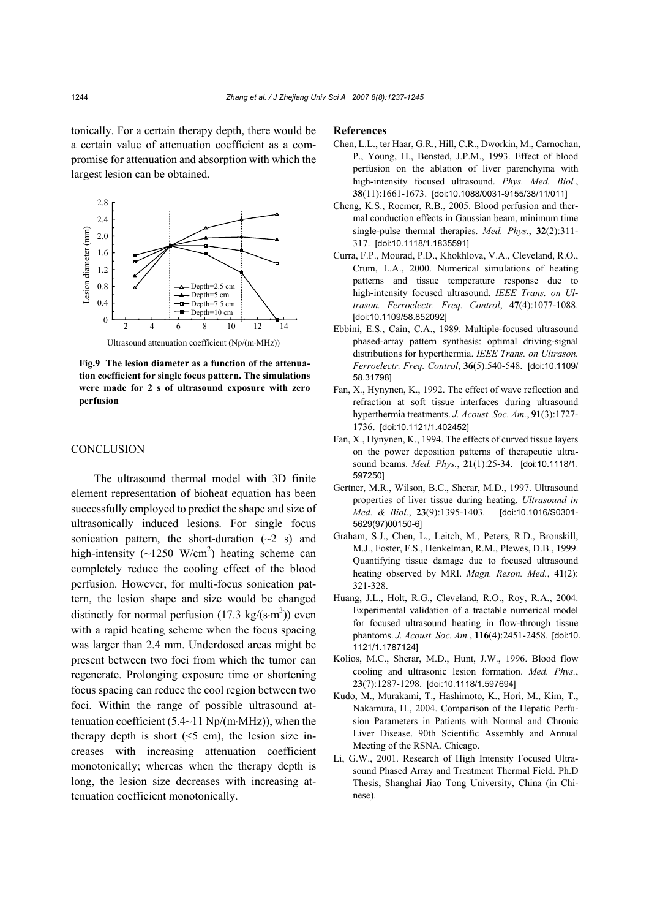tonically. For a certain therapy depth, there would be a certain value of attenuation coefficient as a compromise for attenuation and absorption with which the largest lesion can be obtained.



**Fig.9 The lesion diameter as a function of the attenuation coefficient for single focus pattern. The simulations were made for 2 s of ultrasound exposure with zero perfusion**

## **CONCLUSION**

The ultrasound thermal model with 3D finite element representation of bioheat equation has been successfully employed to predict the shape and size of ultrasonically induced lesions. For single focus sonication pattern, the short-duration  $(\sim 2 \text{ s})$  and high-intensity  $(\sim 1250 \text{ W/cm}^2)$  heating scheme can completely reduce the cooling effect of the blood perfusion. However, for multi-focus sonication pattern, the lesion shape and size would be changed distinctly for normal perfusion  $(17.3 \text{ kg/(s} \cdot \text{m}^3))$  even with a rapid heating scheme when the focus spacing was larger than 2.4 mm. Underdosed areas might be present between two foci from which the tumor can regenerate. Prolonging exposure time or shortening focus spacing can reduce the cool region between two foci. Within the range of possible ultrasound attenuation coefficient (5.4~11 Np/(m⋅MHz)), when the therapy depth is short  $( $5 \text{ cm}$ ), the lesion size in$ creases with increasing attenuation coefficient monotonically; whereas when the therapy depth is long, the lesion size decreases with increasing attenuation coefficient monotonically.

#### **References**

- Chen, L.L., ter Haar, G.R., Hill, C.R., Dworkin, M., Carnochan, P., Young, H., Bensted, J.P.M., 1993. Effect of blood perfusion on the ablation of liver parenchyma with high-intensity focused ultrasound. *Phys. Med. Biol.*, **38**(11):1661-1673. [doi:10.1088/0031-9155/38/11/011]
- Cheng, K.S., Roemer, R.B., 2005. Blood perfusion and thermal conduction effects in Gaussian beam, minimum time single-pulse thermal therapies. *Med. Phys.*, **32**(2):311- 317. [doi:10.1118/1.1835591]
- Curra, F.P., Mourad, P.D., Khokhlova, V.A., Cleveland, R.O., Crum, L.A., 2000. Numerical simulations of heating patterns and tissue temperature response due to high-intensity focused ultrasound. *IEEE Trans. on Ultrason. Ferroelectr. Freq. Control*, **47**(4):1077-1088. [doi:10.1109/58.852092]
- Ebbini, E.S., Cain, C.A., 1989. Multiple-focused ultrasound phased-array pattern synthesis: optimal driving-signal distributions for hyperthermia. *IEEE Trans. on Ultrason. Ferroelectr. Freq. Control*, **36**(5):540-548. [doi:10.1109/ 58.31798]
- Fan, X., Hynynen, K., 1992. The effect of wave reflection and refraction at soft tissue interfaces during ultrasound hyperthermia treatments. *J. Acoust. Soc. Am.*, **91**(3):1727- 1736. [doi:10.1121/1.402452]
- Fan, X., Hynynen, K., 1994. The effects of curved tissue layers on the power deposition patterns of therapeutic ultrasound beams. *Med. Phys.*, **21**(1):25-34. [doi:10.1118/1. 597250]
- Gertner, M.R., Wilson, B.C., Sherar, M.D., 1997. Ultrasound properties of liver tissue during heating. *Ultrasound in Med. & Biol.*, **23**(9):1395-1403. [doi:10.1016/S0301- 5629(97)00150-6]
- Graham, S.J., Chen, L., Leitch, M., Peters, R.D., Bronskill, M.J., Foster, F.S., Henkelman, R.M., Plewes, D.B., 1999. Quantifying tissue damage due to focused ultrasound heating observed by MRI. *Magn. Reson. Med.*, **41**(2): 321-328.
- Huang, J.L., Holt, R.G., Cleveland, R.O., Roy, R.A., 2004. Experimental validation of a tractable numerical model for focused ultrasound heating in flow-through tissue phantoms. *J. Acoust. Soc. Am.*, **116**(4):2451-2458. [doi:10. 1121/1.1787124]
- Kolios, M.C., Sherar, M.D., Hunt, J.W., 1996. Blood flow cooling and ultrasonic lesion formation. *Med. Phys.*, **23**(7):1287-1298. [doi:10.1118/1.597694]
- Kudo, M., Murakami, T., Hashimoto, K., Hori, M., Kim, T., Nakamura, H., 2004. Comparison of the Hepatic Perfusion Parameters in Patients with Normal and Chronic Liver Disease. 90th Scientific Assembly and Annual Meeting of the RSNA. Chicago.
- Li, G.W., 2001. Research of High Intensity Focused Ultrasound Phased Array and Treatment Thermal Field. Ph.D Thesis, Shanghai Jiao Tong University, China (in Chinese).